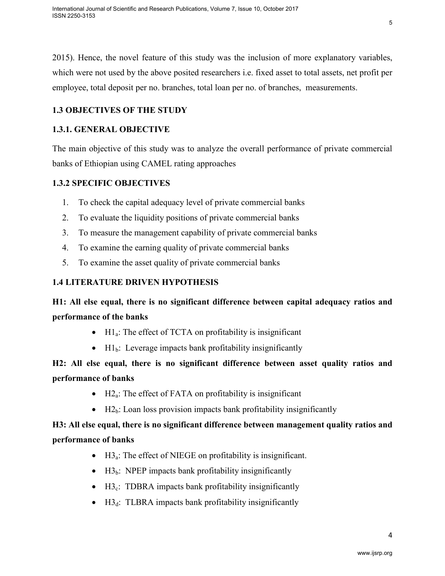2015). Hence, the novel feature of this study was the inclusion of more explanatory variables, which were not used by the above posited researchers i.e. fixed asset to total assets, net profit per employee, total deposit per no. branches, total loan per no. of branches, measurements.

## **1.3 OBJECTIVES OF THE STUDY**

## **1.3.1. GENERAL OBJECTIVE**

The main objective of this study was to analyze the overall performance of private commercial banks of Ethiopian using CAMEL rating approaches

### **1.3.2 SPECIFIC OBJECTIVES**

- 1. To check the capital adequacy level of private commercial banks
- 2. To evaluate the liquidity positions of private commercial banks
- 3. To measure the management capability of private commercial banks
- 4. To examine the earning quality of private commercial banks
- 5. To examine the asset quality of private commercial banks

## **1.4 LITERATURE DRIVEN HYPOTHESIS**

## **H1: All else equal, there is no significant difference between capital adequacy ratios and performance of the banks**

- $\text{H1}_a$ : The effect of TCTA on profitability is insignificant
- $H1_b$ : Leverage impacts bank profitability insignificantly

## **H2: All else equal, there is no significant difference between asset quality ratios and performance of banks**

- $\bullet$  H2<sub>a</sub>: The effect of FATA on profitability is insignificant
- $H2<sub>b</sub>$ : Loan loss provision impacts bank profitability insignificantly

## **H3: All else equal, there is no significant difference between management quality ratios and performance of banks**

- $\bullet$  H3<sub>a</sub>: The effect of NIEGE on profitability is insignificant.
- $H3_b$ : NPEP impacts bank profitability insignificantly
- $H_2$ : TDBRA impacts bank profitability insignificantly
- $H_0$ : TLBRA impacts bank profitability insignificantly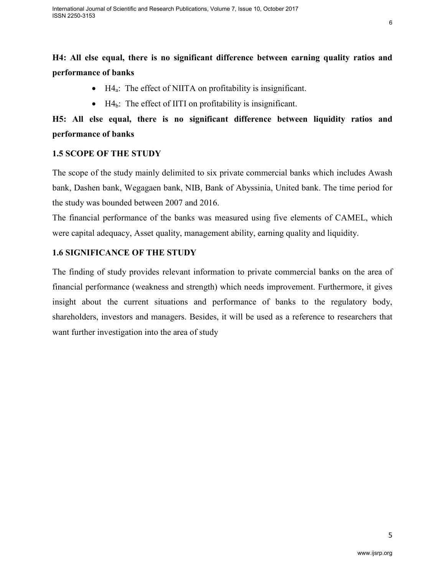## **H4: All else equal, there is no significant difference between earning quality ratios and performance of banks**

- $H4_a$ : The effect of NIITA on profitability is insignificant.
- $\bullet$  H4<sub>b</sub>: The effect of IITI on profitability is insignificant.

# **H5: All else equal, there is no significant difference between liquidity ratios and performance of banks**

## **1.5 SCOPE OF THE STUDY**

The scope of the study mainly delimited to six private commercial banks which includes Awash bank, Dashen bank, Wegagaen bank, NIB, Bank of Abyssinia, United bank. The time period for the study was bounded between 2007 and 2016.

The financial performance of the banks was measured using five elements of CAMEL, which were capital adequacy, Asset quality, management ability, earning quality and liquidity.

## **1.6 SIGNIFICANCE OF THE STUDY**

The finding of study provides relevant information to private commercial banks on the area of financial performance (weakness and strength) which needs improvement. Furthermore, it gives insight about the current situations and performance of banks to the regulatory body, shareholders, investors and managers. Besides, it will be used as a reference to researchers that want further investigation into the area of study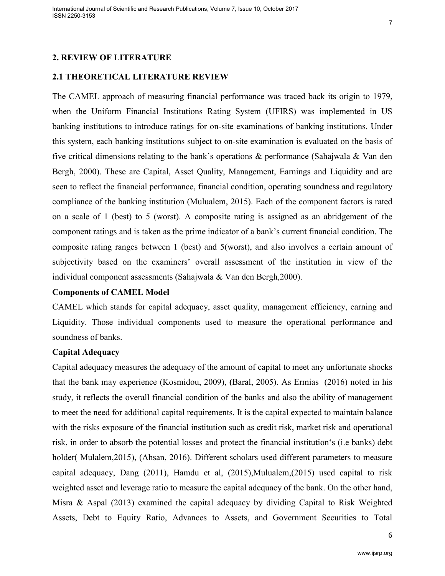#### **2. REVIEW OF LITERATURE**

#### **2.1 THEORETICAL LITERATURE REVIEW**

The CAMEL approach of measuring financial performance was traced back its origin to 1979, when the Uniform Financial Institutions Rating System (UFIRS) was implemented in US banking institutions to introduce ratings for on-site examinations of banking institutions. Under this system, each banking institutions subject to on-site examination is evaluated on the basis of five critical dimensions relating to the bank's operations & performance (Sahajwala & Van den Bergh, 2000). These are Capital, Asset Quality, Management, Earnings and Liquidity and are seen to reflect the financial performance, financial condition, operating soundness and regulatory compliance of the banking institution (Mulualem, 2015). Each of the component factors is rated on a scale of 1 (best) to 5 (worst). A composite rating is assigned as an abridgement of the component ratings and is taken as the prime indicator of a bank's current financial condition. The composite rating ranges between 1 (best) and 5(worst), and also involves a certain amount of subjectivity based on the examiners' overall assessment of the institution in view of the individual component assessments (Sahajwala & Van den Bergh,2000).

#### **Components of CAMEL Model**

CAMEL which stands for capital adequacy, asset quality, management efficiency, earning and Liquidity. Those individual components used to measure the operational performance and soundness of banks.

#### **Capital Adequacy**

Capital adequacy measures the adequacy of the amount of capital to meet any unfortunate shocks that the bank may experience (Kosmidou, 2009), **(**Baral, 2005). As Ermias (2016) noted in his study, it reflects the overall financial condition of the banks and also the ability of management to meet the need for additional capital requirements. It is the capital expected to maintain balance with the risks exposure of the financial institution such as credit risk, market risk and operational risk, in order to absorb the potential losses and protect the financial institution's (i.e banks) debt holder( Mulalem, 2015), (Ahsan, 2016). Different scholars used different parameters to measure capital adequacy, Dang (2011), Hamdu et al, (2015),Mulualem,(2015) used capital to risk weighted asset and leverage ratio to measure the capital adequacy of the bank. On the other hand, Misra & Aspal (2013) examined the capital adequacy by dividing Capital to Risk Weighted Assets, Debt to Equity Ratio, Advances to Assets, and Government Securities to Total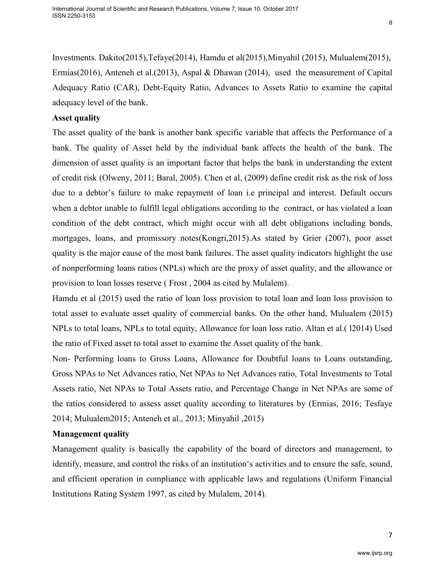Investments. Dakito(2015),Tefaye(2014), Hamdu et al(2015),Minyahil (2015), Mulualem(2015), Ermias(2016), Anteneh et al.(2013), Aspal & Dhawan (2014), used the measurement of Capital Adequacy Ratio (CAR), Debt-Equity Ratio, Advances to Assets Ratio to examine the capital adequacy level of the bank.

#### **Asset quality**

The asset quality of the bank is another bank specific variable that affects the Performance of a bank. The quality of Asset held by the individual bank affects the health of the bank. The dimension of asset quality is an important factor that helps the bank in understanding the extent of credit risk (Olweny, 2011; Baral, 2005). Chen et al, (2009) define credit risk as the risk of loss due to a debtor's failure to make repayment of loan i.e principal and interest. Default occurs when a debtor unable to fulfill legal obligations according to the contract, or has violated a loan condition of the debt contract, which might occur with all debt obligations including bonds, mortgages, loans, and promissory notes(Kongri,2015).As stated by Grier (2007), poor asset quality is the major cause of the most bank failures. The asset quality indicators highlight the use of nonperforming loans ratios (NPLs) which are the proxy of asset quality, and the allowance or provision to loan losses reserve ( Frost , 2004 as cited by Mulalem).

Hamdu et al (2015) used the ratio of loan loss provision to total loan and loan loss provision to total asset to evaluate asset quality of commercial banks. On the other hand, Mulualem (2015) NPLs to total loans, NPLs to total equity, Allowance for loan loss ratio. Altan et al.( l2014) Used the ratio of Fixed asset to total asset to examine the Asset quality of the bank.

Non- Performing loans to Gross Loans, Allowance for Doubtful loans to Loans outstanding, Gross NPAs to Net Advances ratio, Net NPAs to Net Advances ratio, Total Investments to Total Assets ratio, Net NPAs to Total Assets ratio, and Percentage Change in Net NPAs are some of the ratios considered to assess asset quality according to literatures by (Ermias, 2016; Tesfaye 2014; Mulualem2015; Anteneh et al., 2013; Minyahil ,2015)

#### **Management quality**

Management quality is basically the capability of the board of directors and management, to identify, measure, and control the risks of an institution's activities and to ensure the safe, sound, and efficient operation in compliance with applicable laws and regulations (Uniform Financial Institutions Rating System 1997, as cited by Mulalem, 2014).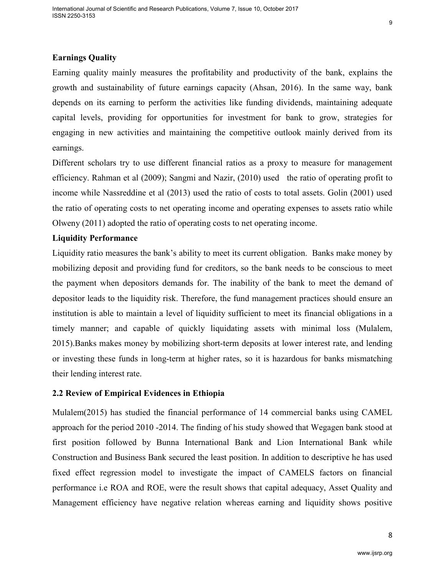#### **Earnings Quality**

Earning quality mainly measures the profitability and productivity of the bank, explains the growth and sustainability of future earnings capacity (Ahsan, 2016). In the same way, bank depends on its earning to perform the activities like funding dividends, maintaining adequate capital levels, providing for opportunities for investment for bank to grow, strategies for engaging in new activities and maintaining the competitive outlook mainly derived from its earnings.

Different scholars try to use different financial ratios as a proxy to measure for management efficiency. Rahman et al (2009); Sangmi and Nazir, (2010) used the ratio of operating profit to income while Nassreddine et al (2013) used the ratio of costs to total assets. Golin (2001) used the ratio of operating costs to net operating income and operating expenses to assets ratio while Olweny (2011) adopted the ratio of operating costs to net operating income.

#### **Liquidity Performance**

Liquidity ratio measures the bank's ability to meet its current obligation. Banks make money by mobilizing deposit and providing fund for creditors, so the bank needs to be conscious to meet the payment when depositors demands for. The inability of the bank to meet the demand of depositor leads to the liquidity risk. Therefore, the fund management practices should ensure an institution is able to maintain a level of liquidity sufficient to meet its financial obligations in a timely manner; and capable of quickly liquidating assets with minimal loss (Mulalem, 2015).Banks makes money by mobilizing short-term deposits at lower interest rate, and lending or investing these funds in long-term at higher rates, so it is hazardous for banks mismatching their lending interest rate.

#### **2.2 Review of Empirical Evidences in Ethiopia**

Mulalem(2015) has studied the financial performance of 14 commercial banks using CAMEL approach for the period 2010 -2014. The finding of his study showed that Wegagen bank stood at first position followed by Bunna International Bank and Lion International Bank while Construction and Business Bank secured the least position. In addition to descriptive he has used fixed effect regression model to investigate the impact of CAMELS factors on financial performance i.e ROA and ROE, were the result shows that capital adequacy, Asset Quality and Management efficiency have negative relation whereas earning and liquidity shows positive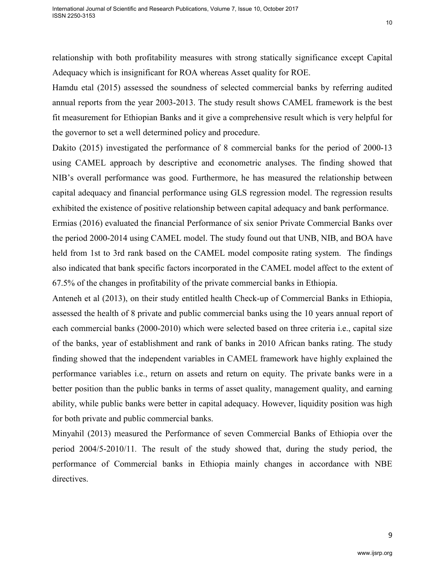relationship with both profitability measures with strong statically significance except Capital Adequacy which is insignificant for ROA whereas Asset quality for ROE.

Hamdu etal (2015) assessed the soundness of selected commercial banks by referring audited annual reports from the year 2003-2013. The study result shows CAMEL framework is the best fit measurement for Ethiopian Banks and it give a comprehensive result which is very helpful for the governor to set a well determined policy and procedure.

Dakito (2015) investigated the performance of 8 commercial banks for the period of 2000-13 using CAMEL approach by descriptive and econometric analyses. The finding showed that NIB's overall performance was good. Furthermore, he has measured the relationship between capital adequacy and financial performance using GLS regression model. The regression results exhibited the existence of positive relationship between capital adequacy and bank performance.

Ermias (2016) evaluated the financial Performance of six senior Private Commercial Banks over the period 2000-2014 using CAMEL model. The study found out that UNB, NIB, and BOA have held from 1st to 3rd rank based on the CAMEL model composite rating system. The findings also indicated that bank specific factors incorporated in the CAMEL model affect to the extent of 67.5% of the changes in profitability of the private commercial banks in Ethiopia.

Anteneh et al (2013), on their study entitled health Check-up of Commercial Banks in Ethiopia, assessed the health of 8 private and public commercial banks using the 10 years annual report of each commercial banks (2000-2010) which were selected based on three criteria i.e., capital size of the banks, year of establishment and rank of banks in 2010 African banks rating. The study finding showed that the independent variables in CAMEL framework have highly explained the performance variables i.e., return on assets and return on equity. The private banks were in a better position than the public banks in terms of asset quality, management quality, and earning ability, while public banks were better in capital adequacy. However, liquidity position was high for both private and public commercial banks.

Minyahil (2013) measured the Performance of seven Commercial Banks of Ethiopia over the period 2004/5-2010/11*.* The result of the study showed that, during the study period, the performance of Commercial banks in Ethiopia mainly changes in accordance with NBE directives.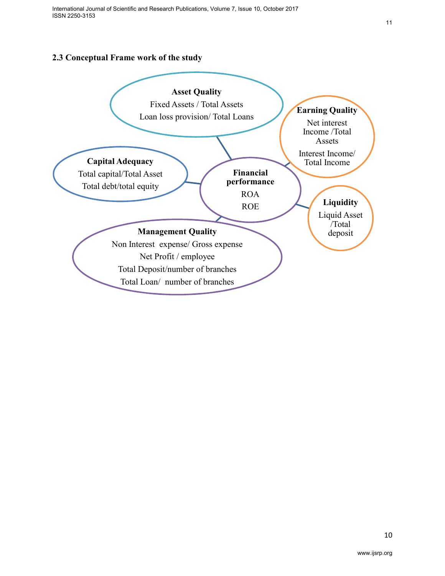## **2.3 Conceptual Frame work of the study**

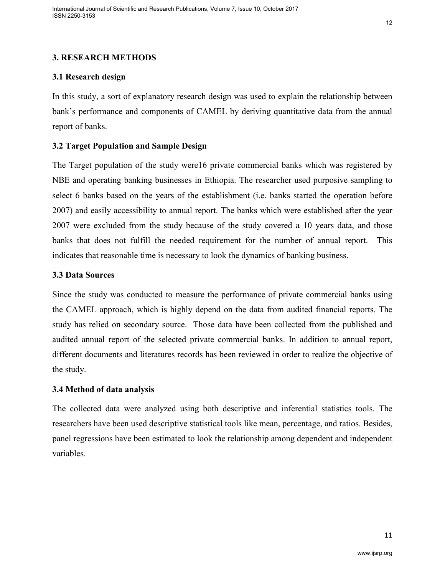## **3. RESEARCH METHODS**

## **3.1 Research design**

In this study, a sort of explanatory research design was used to explain the relationship between bank's performance and components of CAMEL by deriving quantitative data from the annual report of banks.

### **3.2 Target Population and Sample Design**

The Target population of the study were16 private commercial banks which was registered by NBE and operating banking businesses in Ethiopia. The researcher used purposive sampling to select 6 banks based on the years of the establishment (i.e. banks started the operation before 2007) and easily accessibility to annual report. The banks which were established after the year 2007 were excluded from the study because of the study covered a 10 years data, and those banks that does not fulfill the needed requirement for the number of annual report. This indicates that reasonable time is necessary to look the dynamics of banking business.

#### **3.3 Data Sources**

Since the study was conducted to measure the performance of private commercial banks using the CAMEL approach, which is highly depend on the data from audited financial reports. The study has relied on secondary source. Those data have been collected from the published and audited annual report of the selected private commercial banks. In addition to annual report, different documents and literatures records has been reviewed in order to realize the objective of the study.

#### **3.4 Method of data analysis**

The collected data were analyzed using both descriptive and inferential statistics tools. The researchers have been used descriptive statistical tools like mean, percentage, and ratios. Besides, panel regressions have been estimated to look the relationship among dependent and independent variables.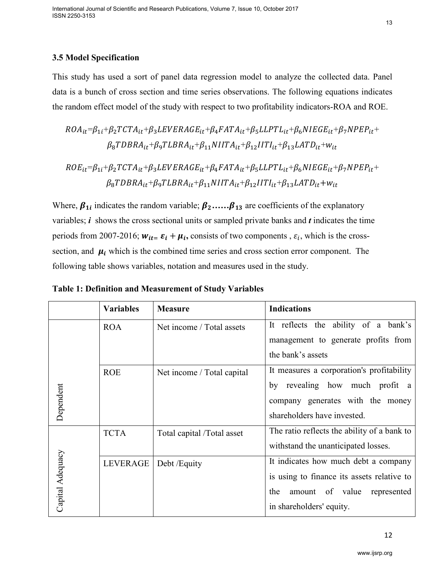### **3.5 Model Specification**

This study has used a sort of panel data regression model to analyze the collected data. Panel data is a bunch of cross section and time series observations. The following equations indicates the random effect model of the study with respect to two profitability indicators-ROA and ROE.

$$
ROA_{it} = \beta_{1i} + \beta_2 TCTA_{it} + \beta_3 LEVERAGE_{it} + \beta_4 FATA_{it} + \beta_5 LLPTL_{it} + \beta_6 NIEGE_{it} + \beta_7 NPEP_{it} + \beta_8 TDBRA_{it} + \beta_9 TLBRA_{it} + \beta_{11} NIITA_{it} + \beta_{12} IITI_{it} + \beta_{13} LATD_{it} + w_{it}
$$

$$
ROE_{it}=\beta_{1i}+\beta_{2}TCTA_{it}+\beta_{3}LEVERAGE_{it}+\beta_{4}FATA_{it}+\beta_{5}LLPTL_{it}+\beta_{6}NIEGE_{it}+\beta_{7}NPEP_{it}+\beta_{8}TDBRA_{it}+\beta_{9}TLBRA_{it}+\beta_{11}NITA_{it}+\beta_{12}IITI_{it}+\beta_{13}LATD_{it}+w_{it}
$$

Where,  $\beta_{1i}$  indicates the random variable;  $\beta_2$ ...... $\beta_{13}$  are coefficients of the explanatory variables; *i* shows the cross sectional units or sampled private banks and *t* indicates the time periods from 2007-2016;  $w_{it} = \varepsilon_i + \mu_i$ , consists of two components,  $\varepsilon_i$ , which is the crosssection, and  $\mu_i$  which is the combined time series and cross section error component. The following table shows variables, notation and measures used in the study.

|                  | <b>Variables</b> | <b>Measure</b>             | <b>Indications</b>                          |
|------------------|------------------|----------------------------|---------------------------------------------|
|                  | <b>ROA</b>       | Net income / Total assets  | It reflects the ability of a bank's         |
|                  |                  |                            | management to generate profits from         |
|                  |                  |                            | the bank's assets                           |
|                  | <b>ROE</b>       | Net income / Total capital | It measures a corporation's profitability   |
|                  |                  |                            | revealing how much profit a<br>by           |
| Dependent        |                  |                            | company generates with the money            |
|                  |                  |                            | shareholders have invested.                 |
|                  | <b>TCTA</b>      | Total capital /Total asset | The ratio reflects the ability of a bank to |
|                  |                  |                            | withstand the unanticipated losses.         |
|                  | LEVERAGE         | Debt /Equity               | It indicates how much debt a company        |
|                  |                  |                            | is using to finance its assets relative to  |
| Capital Adequacy |                  |                            | the<br>amount of value<br>represented       |
|                  |                  |                            | in shareholders' equity.                    |

**Table 1: Definition and Measurement of Study Variables**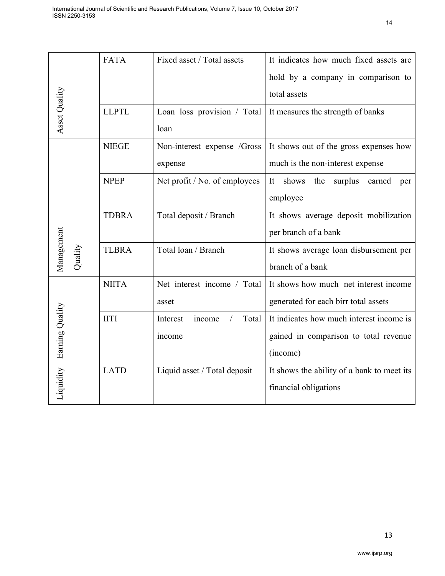|                       | <b>FATA</b>  | Fixed asset / Total assets    | It indicates how much fixed assets are      |  |  |  |
|-----------------------|--------------|-------------------------------|---------------------------------------------|--|--|--|
|                       |              |                               | hold by a company in comparison to          |  |  |  |
| Asset Quality         |              |                               | total assets                                |  |  |  |
|                       | <b>LLPTL</b> | Loan loss provision / Total   | It measures the strength of banks           |  |  |  |
|                       |              | loan                          |                                             |  |  |  |
|                       | <b>NIEGE</b> | Non-interest expense /Gross   | It shows out of the gross expenses how      |  |  |  |
|                       |              | expense                       | much is the non-interest expense            |  |  |  |
|                       | <b>NPEP</b>  | Net profit / No. of employees | shows<br>surplus earned<br>It<br>the<br>per |  |  |  |
|                       |              |                               | employee                                    |  |  |  |
|                       | <b>TDBRA</b> | Total deposit / Branch        | It shows average deposit mobilization       |  |  |  |
|                       |              |                               | per branch of a bank                        |  |  |  |
| Management<br>Quality | <b>TLBRA</b> | Total loan / Branch           | It shows average loan disbursement per      |  |  |  |
|                       |              |                               | branch of a bank                            |  |  |  |
|                       | <b>NIITA</b> | Net interest income / Total   | It shows how much net interest income       |  |  |  |
|                       |              | asset                         | generated for each birr total assets        |  |  |  |
| Earning Quality       | <b>IITI</b>  | Total<br>Interest<br>income   | It indicates how much interest income is    |  |  |  |
|                       |              | income                        | gained in comparison to total revenue       |  |  |  |
|                       |              |                               | (income)                                    |  |  |  |
|                       | <b>LATD</b>  | Liquid asset / Total deposit  | It shows the ability of a bank to meet its  |  |  |  |
| Liquidity             |              |                               | financial obligations                       |  |  |  |
|                       |              |                               |                                             |  |  |  |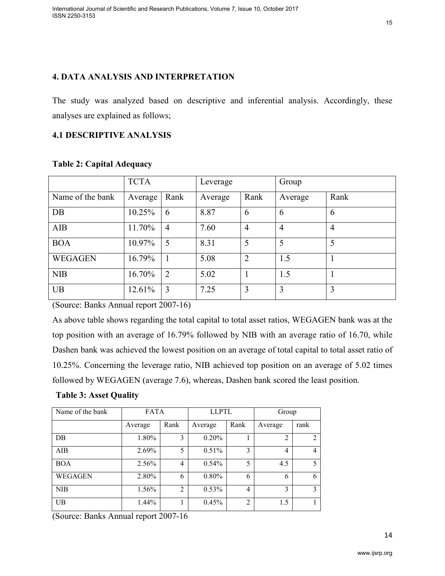### **4. DATA ANALYSIS AND INTERPRETATION**

The study was analyzed based on descriptive and inferential analysis. Accordingly, these analyses are explained as follows;

#### **4.1 DESCRIPTIVE ANALYSIS**

|                  | <b>TCTA</b> |                | Leverage |                | Group          |                |
|------------------|-------------|----------------|----------|----------------|----------------|----------------|
| Name of the bank | Average     | Rank           | Average  | Rank           | Average        | Rank           |
| DB               | 10.25%      | 6              | 8.87     | 6              | 6              | 6              |
| AIB              | 11.70%      | $\overline{4}$ | 7.60     | $\overline{4}$ | $\overline{4}$ | $\overline{4}$ |
| <b>BOA</b>       | 10.97%      | 5              | 8.31     | 5              | 5              | 5              |
| <b>WEGAGEN</b>   | 16.79%      |                | 5.08     | $\overline{2}$ | 1.5            |                |
| <b>NIB</b>       | 16.70%      | 2              | 5.02     |                | 1.5            |                |
| <b>UB</b>        | 12.61%      | 3              | 7.25     | 3              | 3              | 3              |

**Table 2: Capital Adequacy** 

(Source: Banks Annual report 2007-16)

As above table shows regarding the total capital to total asset ratios, WEGAGEN bank was at the top position with an average of 16.79% followed by NIB with an average ratio of 16.70, while Dashen bank was achieved the lowest position on an average of total capital to total asset ratio of 10.25%. Concerning the leverage ratio, NIB achieved top position on an average of 5.02 times followed by WEGAGEN (average 7.6), whereas, Dashen bank scored the least position.

#### **Table 3: Asset Quality**

| Name of the bank | <b>FATA</b> |                | <b>LLPTL</b> |                | Group          |      |  |
|------------------|-------------|----------------|--------------|----------------|----------------|------|--|
|                  | Average     | Rank           | Average      | Rank           | Average        | rank |  |
| DB               | 1.80%       | 3              | 0.20%        |                | $\overline{2}$ | 2    |  |
| AIB              | 2.69%       | 5              | 0.51%        | 3              | 4              | 4    |  |
| <b>BOA</b>       | 2.56%       | 4              | 0.54%        | 5              | 4.5            | 5    |  |
| WEGAGEN          | 2.80%       | 6              | 0.80%        | 6              | 6              | 6    |  |
| <b>NIB</b>       | 1.56%       | $\overline{2}$ | 0.53%        | 4              | 3              | 3    |  |
| $_{\text{UB}}$   | 1.44%       |                | 0.45%        | $\overline{2}$ | 1.5            |      |  |

(Source: Banks Annual report 2007-16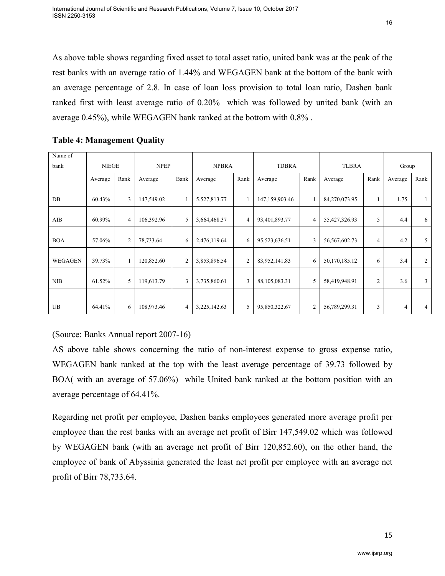average 0.45%), while WEGAGEN bank ranked at the bottom with 0.8% .

| Name of        |              |                |             |                |              |                |                |      |                  |                |         |                |
|----------------|--------------|----------------|-------------|----------------|--------------|----------------|----------------|------|------------------|----------------|---------|----------------|
| bank           | <b>NIEGE</b> |                | <b>NPEP</b> |                | <b>NPBRA</b> |                | <b>TDBRA</b>   |      | <b>TLBRA</b>     |                | Group   |                |
|                | Average      | Rank           | Average     | Bank           | Average      | Rank           | Average        | Rank | Average          | Rank           | Average | Rank           |
| DB             | 60.43%       | 3              | 147,549.02  |                | 5,527,813.77 |                | 147,159,903.46 |      | 84,270,073.95    | 1              | 1.75    | -1             |
| AIB            | 60.99%       | $\overline{4}$ | 106,392.96  | 5              | 3,664,468.37 | 4              | 93,401,893.77  | 4    | 55,427,326.93    | 5              | 4.4     | 6              |
| <b>BOA</b>     | 57.06%       | $\overline{c}$ | 78,733.64   | 6              | 2,476,119.64 | 6              | 95,523,636.51  | 3    | 56, 567, 602. 73 | $\overline{4}$ | 4.2     | 5              |
| <b>WEGAGEN</b> | 39.73%       |                | 120,852.60  | $\overline{c}$ | 3,853,896.54 | $\overline{2}$ | 83,952,141.83  | 6    | 50,170,185.12    | 6              | 3.4     | 2              |
| <b>NIB</b>     | 61.52%       | 5              | 119,613.79  | 3              | 3,735,860.61 | 3              | 88,105,083.31  | 5    | 58,419,948.91    | $\overline{2}$ | 3.6     | 3              |
|                |              |                |             |                |              |                |                |      |                  |                |         |                |
| <b>UB</b>      | 64.41%       | 6              | 108,973.46  | 4              | 3,225,142.63 | 5              | 95,850,322.67  | 2    | 56,789,299.31    | 3              | 4       | $\overline{4}$ |

#### **Table 4: Management Quality**

(Source: Banks Annual report 2007-16)

AS above table shows concerning the ratio of non-interest expense to gross expense ratio, WEGAGEN bank ranked at the top with the least average percentage of 39.73 followed by BOA( with an average of 57.06%) while United bank ranked at the bottom position with an average percentage of 64.41%.

Regarding net profit per employee, Dashen banks employees generated more average profit per employee than the rest banks with an average net profit of Birr 147,549.02 which was followed by WEGAGEN bank (with an average net profit of Birr 120,852.60), on the other hand, the employee of bank of Abyssinia generated the least net profit per employee with an average net profit of Birr 78,733.64.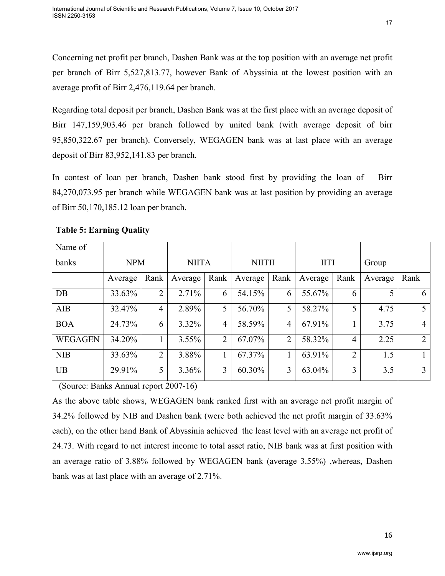Regarding total deposit per branch, Dashen Bank was at the first place with an average deposit of Birr 147,159,903.46 per branch followed by united bank (with average deposit of birr 95,850,322.67 per branch). Conversely, WEGAGEN bank was at last place with an average deposit of Birr 83,952,141.83 per branch.

In contest of loan per branch, Dashen bank stood first by providing the loan of Birr 84,270,073.95 per branch while WEGAGEN bank was at last position by providing an average of Birr 50,170,185.12 loan per branch.

| Name of        |            |                |              |                |               |                |             |                |         |                |
|----------------|------------|----------------|--------------|----------------|---------------|----------------|-------------|----------------|---------|----------------|
| banks          | <b>NPM</b> |                | <b>NIITA</b> |                | <b>NIITII</b> |                | <b>IITI</b> |                | Group   |                |
|                | Average    | Rank           | Average      | Rank           | Average       | Rank           | Average     | Rank           | Average | Rank           |
| DB             | 33.63%     | $\overline{2}$ | 2.71%        | 6              | 54.15%        | 6              | 55.67%      | 6              |         | 6              |
| <b>AIB</b>     | 32.47%     | 4              | 2.89%        | 5              | 56.70%        | 5              | 58.27%      | 5 <sup>1</sup> | 4.75    | 5              |
| <b>BOA</b>     | 24.73%     | 6              | 3.32%        | $\overline{4}$ | 58.59%        | 4              | 67.91%      | 1              | 3.75    | $\overline{4}$ |
| <b>WEGAGEN</b> | 34.20%     |                | $3.55\%$     | $\overline{2}$ | 67.07%        | $\overline{2}$ | 58.32%      | $\overline{4}$ | 2.25    | 2              |
| <b>NIB</b>     | 33.63%     | 2              | 3.88%        |                | 67.37%        |                | 63.91%      | 2              | 1.5     | 1              |
| <b>UB</b>      | 29.91%     | 5              | 3.36%        | 3              | 60.30%        | 3              | 63.04%      | 3              | 3.5     | 3              |

## **Table 5: Earning Quality**

(Source: Banks Annual report 2007-16)

As the above table shows, WEGAGEN bank ranked first with an average net profit margin of 34.2% followed by NIB and Dashen bank (were both achieved the net profit margin of 33.63% each), on the other hand Bank of Abyssinia achieved the least level with an average net profit of 24.73. With regard to net interest income to total asset ratio, NIB bank was at first position with an average ratio of 3.88% followed by WEGAGEN bank (average 3.55%) ,whereas, Dashen bank was at last place with an average of 2.71%.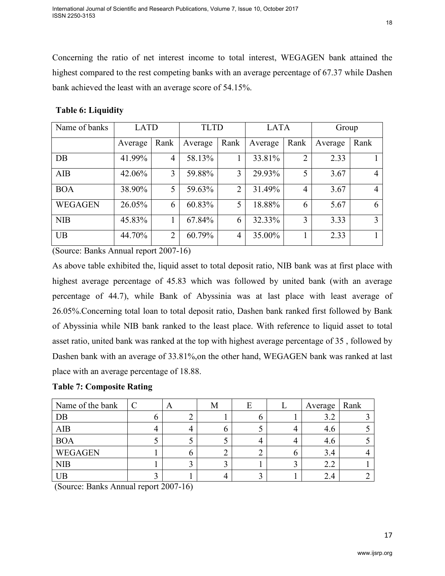Concerning the ratio of net interest income to total interest, WEGAGEN bank attained the highest compared to the rest competing banks with an average percentage of 67.37 while Dashen bank achieved the least with an average score of 54.15%.

| Name of banks  | <b>LATD</b> |      | <b>TLTD</b> |                | <b>LATA</b> |                | Group   |      |
|----------------|-------------|------|-------------|----------------|-------------|----------------|---------|------|
|                | Average     | Rank | Average     | Rank           | Average     | Rank           | Average | Rank |
| DB             | 41.99%      | 4    | 58.13%      |                | 33.81%      | $\overline{2}$ | 2.33    |      |
| AIB            | 42.06%      | 3    | 59.88%      | 3              | 29.93%      | 5              | 3.67    | 4    |
| <b>BOA</b>     | 38.90%      | 5    | 59.63%      | $\overline{2}$ | 31.49%      | $\overline{4}$ | 3.67    | 4    |
| <b>WEGAGEN</b> | 26.05%      | 6    | 60.83%      | 5              | 18.88%      | 6              | 5.67    | 6    |
| <b>NIB</b>     | 45.83%      |      | 67.84%      | 6              | 32.33%      | 3              | 3.33    | 3    |
| <b>UB</b>      | 44.70%      | ↑    | 60.79%      | 4              | 35.00%      |                | 2.33    |      |

### **Table 6: Liquidity**

(Source: Banks Annual report 2007-16)

As above table exhibited the, liquid asset to total deposit ratio, NIB bank was at first place with highest average percentage of 45.83 which was followed by united bank (with an average percentage of 44.7), while Bank of Abyssinia was at last place with least average of 26.05%.Concerning total loan to total deposit ratio, Dashen bank ranked first followed by Bank of Abyssinia while NIB bank ranked to the least place. With reference to liquid asset to total asset ratio, united bank was ranked at the top with highest average percentage of 35 , followed by Dashen bank with an average of 33.81%,on the other hand, WEGAGEN bank was ranked at last place with an average percentage of 18.88.

#### **Table 7: Composite Rating**

| Name of the bank | A | ΙVΙ |   | Average | Rank |
|------------------|---|-----|---|---------|------|
| DB               |   |     | n | 3.2     |      |
| <b>AIB</b>       |   |     |   | 4.6     |      |
| <b>BOA</b>       | ັ | ັ   |   | 4.6     |      |
| WEGAGEN          | O |     |   | 3.4     |      |
| <b>NIB</b>       | ◠ |     |   | 2.2     |      |
| UB               |   |     |   | 2.4     |      |

(Source: Banks Annual report 2007-16)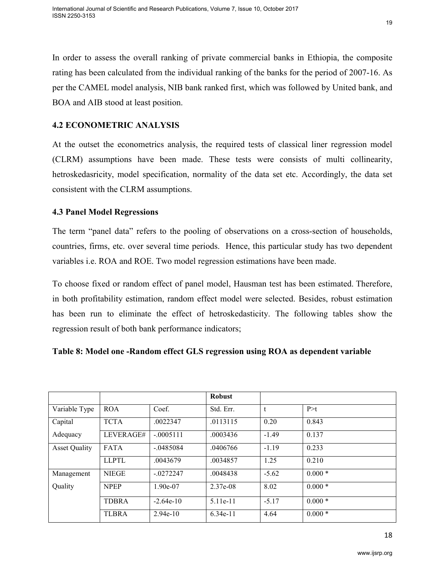In order to assess the overall ranking of private commercial banks in Ethiopia, the composite rating has been calculated from the individual ranking of the banks for the period of 2007-16. As per the CAMEL model analysis, NIB bank ranked first, which was followed by United bank, and BOA and AIB stood at least position.

#### **4.2 ECONOMETRIC ANALYSIS**

At the outset the econometrics analysis, the required tests of classical liner regression model (CLRM) assumptions have been made. These tests were consists of multi collinearity, hetroskedasricity, model specification, normality of the data set etc. Accordingly, the data set consistent with the CLRM assumptions.

#### **4.3 Panel Model Regressions**

The term "panel data" refers to the pooling of observations on a cross-section of households, countries, firms, etc. over several time periods. Hence, this particular study has two dependent variables i.e. ROA and ROE. Two model regression estimations have been made.

To choose fixed or random effect of panel model, Hausman test has been estimated. Therefore, in both profitability estimation, random effect model were selected. Besides, robust estimation has been run to eliminate the effect of hetroskedasticity. The following tables show the regression result of both bank performance indicators;

#### **Table 8: Model one -Random effect GLS regression using ROA as dependent variable**

|                      |              |             | <b>Robust</b> |         |          |
|----------------------|--------------|-------------|---------------|---------|----------|
| Variable Type        | <b>ROA</b>   | Coef.       | Std. Err.     | t       | P > t    |
| Capital              | <b>TCTA</b>  | .0022347    | .0113115      | 0.20    | 0.843    |
| Adequacy             | LEVERAGE#    | $-.0005111$ | .0003436      | $-1.49$ | 0.137    |
| <b>Asset Quality</b> | <b>FATA</b>  | $-.0485084$ | .0406766      | $-1.19$ | 0.233    |
|                      | <b>LLPTL</b> | .0043679    | .0034857      | 1.25    | 0.210    |
| Management           | <b>NIEGE</b> | $-.0272247$ | .0048438      | $-5.62$ | $0.000*$ |
| Quality              | <b>NPEP</b>  | $1.90e-07$  | 2.37e-08      | 8.02    | $0.000*$ |
|                      | <b>TDBRA</b> | $-2.64e-10$ | 5.11e-11      | $-5.17$ | $0.000*$ |
|                      | <b>TLBRA</b> | $2.94e-10$  | $6.34e-11$    | 4.64    | $0.000*$ |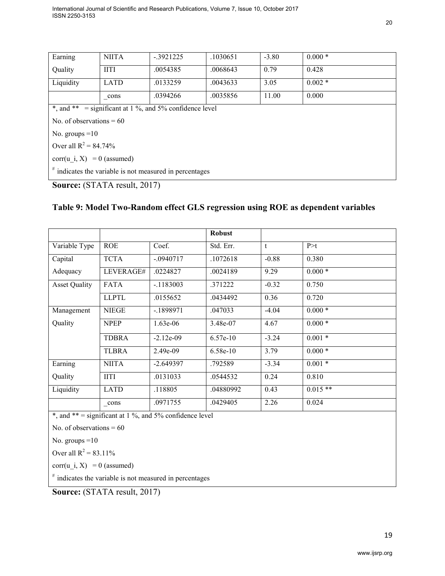| Earning                      | <b>NIITA</b>                                                       | $-0.3921225$                                            | .1030651 | $-3.80$ | $0.000*$ |  |  |  |
|------------------------------|--------------------------------------------------------------------|---------------------------------------------------------|----------|---------|----------|--|--|--|
| Quality                      | <b>IITI</b>                                                        | .0054385                                                | .0068643 | 0.79    | 0.428    |  |  |  |
| Liquidity                    | <b>LATD</b>                                                        | .0133259                                                | .0043633 | 3.05    | $0.002*$ |  |  |  |
|                              | cons                                                               | .0394266                                                | .0035856 | 11.00   | 0.000    |  |  |  |
|                              |                                                                    | *, and ** = significant at 1 %, and 5% confidence level |          |         |          |  |  |  |
| No. of observations $= 60$   |                                                                    |                                                         |          |         |          |  |  |  |
| No. groups $=10$             |                                                                    |                                                         |          |         |          |  |  |  |
| Over all $R^2 = 84.74\%$     |                                                                    |                                                         |          |         |          |  |  |  |
| $corr(u i, X) = 0$ (assumed) |                                                                    |                                                         |          |         |          |  |  |  |
|                              | <sup>#</sup> indicates the variable is not measured in percentages |                                                         |          |         |          |  |  |  |

**Source:** (STATA result, 2017)

### **Table 9: Model Two-Random effect GLS regression using ROE as dependent variables**

|                      |               |             | <b>Robust</b> |         |           |
|----------------------|---------------|-------------|---------------|---------|-----------|
| Variable Type        | <b>ROE</b>    | Coef.       | Std. Err.     | t       | P > t     |
| Capital              | <b>TCTA</b>   | $-.0940717$ | .1072618      | $-0.88$ | 0.380     |
| Adequacy             | LEVERAGE#     | .0224827    | .0024189      | 9.29    | $0.000*$  |
| <b>Asset Quality</b> | <b>FATA</b>   | $-1183003$  | .371222       | $-0.32$ | 0.750     |
|                      | <b>LLPTL</b>  | .0155652    | .0434492      | 0.36    | 0.720     |
| Management           | <b>NIEGE</b>  | $-1898971$  | .047033       | $-4.04$ | $0.000*$  |
| Quality              | <b>NPEP</b>   | $1.63e-06$  | 3.48e-07      | 4.67    | $0.000*$  |
|                      | <b>TDBRA</b>  | $-2.12e-09$ | $6.57e-10$    | $-3.24$ | $0.001*$  |
|                      | <b>TLBRA</b>  | $2.49e-09$  | $6.58e-10$    | 3.79    | $0.000*$  |
| Earning              | <b>NIITA</b>  | $-2.649397$ | .792589       | $-3.34$ | $0.001*$  |
| Quality              | <b>IITI</b>   | .0131033    | .0544532      | 0.24    | 0.810     |
| Liquidity            | <b>LATD</b>   | .118805     | .04880992     | 0.43    | $0.015**$ |
|                      | $_{\rm cons}$ | .0971755    | .0429405      | 2.26    | 0.024     |

 $*$ , and  $**$  = significant at 1 %, and 5% confidence level

No. of observations  $= 60$ 

No. groups  $=10$ 

Over all  $R^2 = 83.11\%$ 

corr(u i, X) = 0 (assumed)

# indicates the variable is not measured in percentages

**Source:** (STATA result, 2017)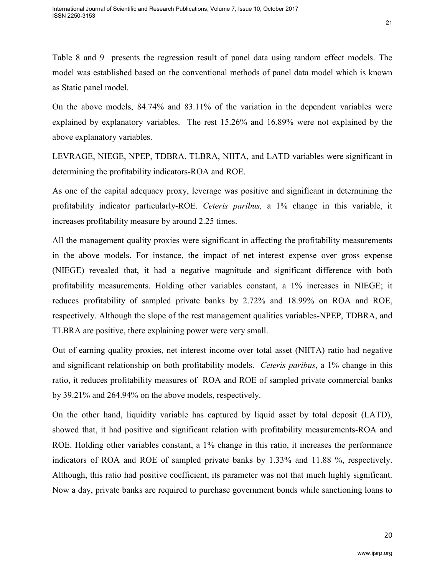On the above models, 84.74% and 83.11% of the variation in the dependent variables were explained by explanatory variables. The rest 15.26% and 16.89% were not explained by the above explanatory variables.

LEVRAGE, NIEGE, NPEP, TDBRA, TLBRA, NIITA, and LATD variables were significant in determining the profitability indicators-ROA and ROE.

As one of the capital adequacy proxy, leverage was positive and significant in determining the profitability indicator particularly-ROE. *Ceteris paribus,* a 1% change in this variable, it increases profitability measure by around 2.25 times.

All the management quality proxies were significant in affecting the profitability measurements in the above models. For instance, the impact of net interest expense over gross expense (NIEGE) revealed that, it had a negative magnitude and significant difference with both profitability measurements. Holding other variables constant, a 1% increases in NIEGE; it reduces profitability of sampled private banks by 2.72% and 18.99% on ROA and ROE, respectively. Although the slope of the rest management qualities variables-NPEP, TDBRA, and TLBRA are positive, there explaining power were very small.

Out of earning quality proxies, net interest income over total asset (NIITA) ratio had negative and significant relationship on both profitability models. *Ceteris paribus*, a 1% change in this ratio, it reduces profitability measures of ROA and ROE of sampled private commercial banks by 39.21% and 264.94% on the above models, respectively.

On the other hand, liquidity variable has captured by liquid asset by total deposit (LATD), showed that, it had positive and significant relation with profitability measurements-ROA and ROE. Holding other variables constant, a 1% change in this ratio, it increases the performance indicators of ROA and ROE of sampled private banks by 1.33% and 11.88 %, respectively. Although, this ratio had positive coefficient, its parameter was not that much highly significant. Now a day, private banks are required to purchase government bonds while sanctioning loans to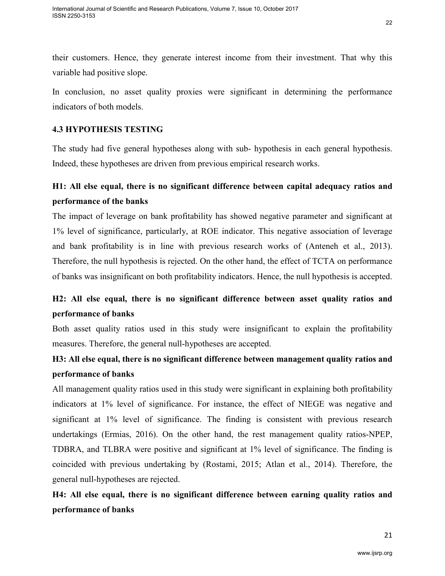their customers. Hence, they generate interest income from their investment. That why this variable had positive slope.

In conclusion, no asset quality proxies were significant in determining the performance indicators of both models.

### **4.3 HYPOTHESIS TESTING**

The study had five general hypotheses along with sub- hypothesis in each general hypothesis. Indeed, these hypotheses are driven from previous empirical research works.

## **H1: All else equal, there is no significant difference between capital adequacy ratios and performance of the banks**

The impact of leverage on bank profitability has showed negative parameter and significant at 1% level of significance, particularly, at ROE indicator. This negative association of leverage and bank profitability is in line with previous research works of (Anteneh et al., 2013). Therefore, the null hypothesis is rejected. On the other hand, the effect of TCTA on performance of banks was insignificant on both profitability indicators. Hence, the null hypothesis is accepted.

## **H2: All else equal, there is no significant difference between asset quality ratios and performance of banks**

Both asset quality ratios used in this study were insignificant to explain the profitability measures. Therefore, the general null-hypotheses are accepted.

## **H3: All else equal, there is no significant difference between management quality ratios and performance of banks**

All management quality ratios used in this study were significant in explaining both profitability indicators at 1% level of significance. For instance, the effect of NIEGE was negative and significant at 1% level of significance. The finding is consistent with previous research undertakings (Ermias, 2016). On the other hand, the rest management quality ratios-NPEP, TDBRA, and TLBRA were positive and significant at 1% level of significance. The finding is coincided with previous undertaking by (Rostami, 2015; Atlan et al., 2014). Therefore, the general null-hypotheses are rejected.

# **H4: All else equal, there is no significant difference between earning quality ratios and performance of banks**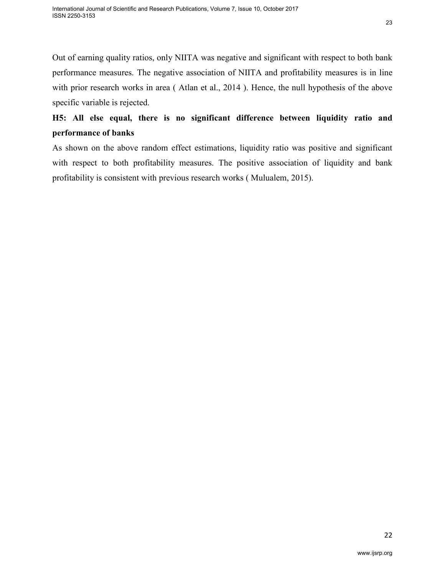Out of earning quality ratios, only NIITA was negative and significant with respect to both bank performance measures. The negative association of NIITA and profitability measures is in line with prior research works in area (Atlan et al., 2014). Hence, the null hypothesis of the above specific variable is rejected.

# **H5: All else equal, there is no significant difference between liquidity ratio and performance of banks**

As shown on the above random effect estimations, liquidity ratio was positive and significant with respect to both profitability measures. The positive association of liquidity and bank profitability is consistent with previous research works ( Mulualem, 2015).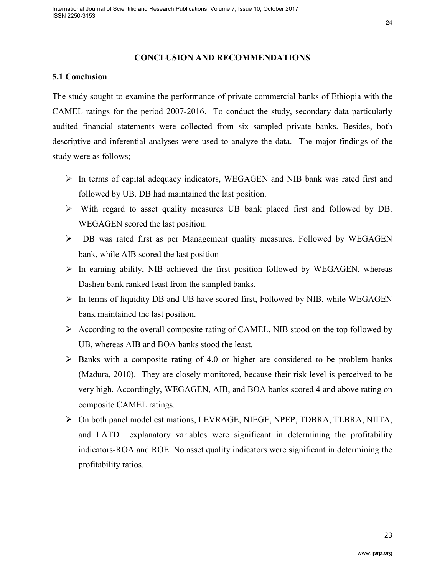#### 24

#### **CONCLUSION AND RECOMMENDATIONS**

#### **5.1 Conclusion**

The study sought to examine the performance of private commercial banks of Ethiopia with the CAMEL ratings for the period 2007-2016. To conduct the study, secondary data particularly audited financial statements were collected from six sampled private banks. Besides, both descriptive and inferential analyses were used to analyze the data. The major findings of the study were as follows;

- $\triangleright$  In terms of capital adequacy indicators, WEGAGEN and NIB bank was rated first and followed by UB. DB had maintained the last position.
- $\triangleright$  With regard to asset quality measures UB bank placed first and followed by DB. WEGAGEN scored the last position.
- DB was rated first as per Management quality measures. Followed by WEGAGEN bank, while AIB scored the last position
- $\triangleright$  In earning ability, NIB achieved the first position followed by WEGAGEN, whereas Dashen bank ranked least from the sampled banks.
- $\triangleright$  In terms of liquidity DB and UB have scored first, Followed by NIB, while WEGAGEN bank maintained the last position.
- $\triangleright$  According to the overall composite rating of CAMEL, NIB stood on the top followed by UB, whereas AIB and BOA banks stood the least.
- $\triangleright$  Banks with a composite rating of 4.0 or higher are considered to be problem banks (Madura, 2010). They are closely monitored, because their risk level is perceived to be very high. Accordingly, WEGAGEN, AIB, and BOA banks scored 4 and above rating on composite CAMEL ratings.
- On both panel model estimations, LEVRAGE, NIEGE, NPEP, TDBRA, TLBRA, NIITA, and LATD explanatory variables were significant in determining the profitability indicators-ROA and ROE. No asset quality indicators were significant in determining the profitability ratios.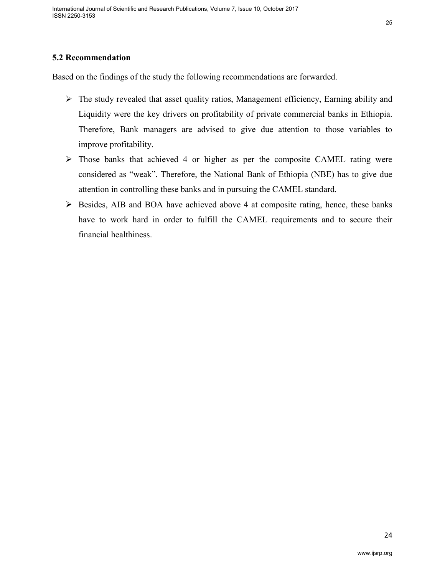## **5.2 Recommendation**

Based on the findings of the study the following recommendations are forwarded.

- $\triangleright$  The study revealed that asset quality ratios, Management efficiency, Earning ability and Liquidity were the key drivers on profitability of private commercial banks in Ethiopia. Therefore, Bank managers are advised to give due attention to those variables to improve profitability.
- $\triangleright$  Those banks that achieved 4 or higher as per the composite CAMEL rating were considered as "weak". Therefore, the National Bank of Ethiopia (NBE) has to give due attention in controlling these banks and in pursuing the CAMEL standard.
- $\triangleright$  Besides, AIB and BOA have achieved above 4 at composite rating, hence, these banks have to work hard in order to fulfill the CAMEL requirements and to secure their financial healthiness.

25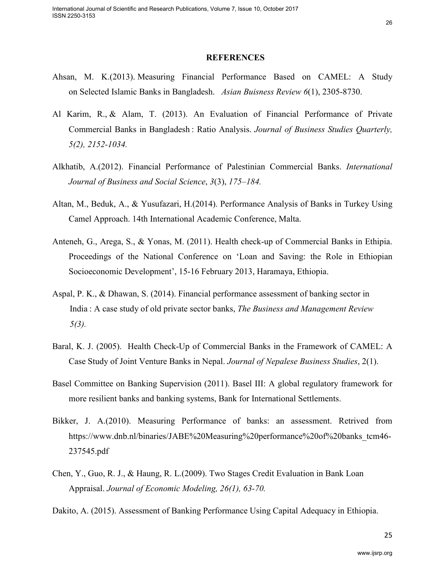#### **REFERENCES**

- Ahsan, M. K.(2013). Measuring Financial Performance Based on CAMEL: A Study on Selected Islamic Banks in Bangladesh. *Asian Buisness Review 6*(1), 2305-8730.
- Al Karim, R., & Alam, T. (2013). An Evaluation of Financial Performance of Private Commercial Banks in Bangladesh : Ratio Analysis. *Journal of Business Studies Quarterly, 5(2), 2152-1034.*
- Alkhatib, A.(2012). Financial Performance of Palestinian Commercial Banks. *International Journal of Business and Social Science*, *3*(3), *175–184.*
- Altan, M., Beduk, A., & Yusufazari, H.(2014). Performance Analysis of Banks in Turkey Using Camel Approach. 14th International Academic Conference, Malta.
- Anteneh, G., Arega, S., & Yonas, M. (2011). Health check-up of Commercial Banks in Ethipia. Proceedings of the National Conference on 'Loan and Saving: the Role in Ethiopian Socioeconomic Development', 15-16 February 2013, Haramaya, Ethiopia.
- Aspal, P. K., & Dhawan, S. (2014). Financial performance assessment of banking sector in India : A case study of old private sector banks, *The Business and Management Review 5(3).*
- Baral, K. J. (2005). Health Check-Up of Commercial Banks in the Framework of CAMEL: A Case Study of Joint Venture Banks in Nepal. *Journal of Nepalese Business Studies*, 2(1).
- Basel Committee on Banking Supervision (2011). Basel III: A global regulatory framework for more resilient banks and banking systems, Bank for International Settlements.
- Bikker, J. A.(2010). Measuring Performance of banks: an assessment. Retrived from https://www.dnb.nl/binaries/JABE%20Measuring%20performance%20of%20banks\_tcm46- 237545.pdf
- Chen, Y., Guo, R. J., & Haung, R. L.(2009). Two Stages Credit Evaluation in Bank Loan Appraisal. *Journal of Economic Modeling, 26(1), 63-70.*

Dakito, A. (2015). Assessment of Banking Performance Using Capital Adequacy in Ethiopia.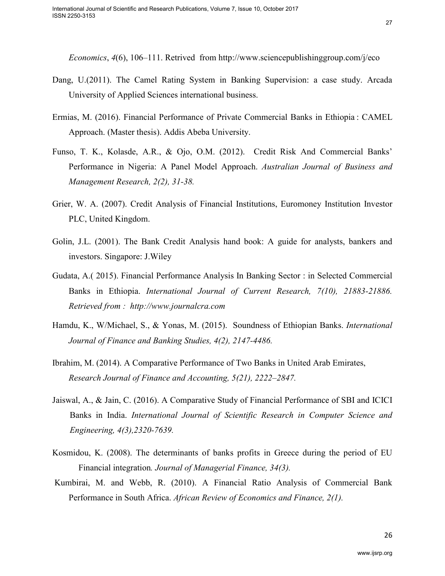*Economics*, *4*(6), 106–111. Retrived from http://www.sciencepublishinggroup.com/j/eco

- Dang, U.(2011). The Camel Rating System in Banking Supervision: a case study. Arcada University of Applied Sciences international business.
- Ermias, M. (2016). Financial Performance of Private Commercial Banks in Ethiopia : CAMEL Approach. (Master thesis). Addis Abeba University.
- Funso, T. K., Kolasde, A.R., & Ojo, O.M. (2012). Credit Risk And Commercial Banks' Performance in Nigeria: A Panel Model Approach. *Australian Journal of Business and Management Research, 2(2), 31-38.*
- Grier, W. A. (2007). Credit Analysis of Financial Institutions, Euromoney Institution Investor PLC, United Kingdom.
- Golin, J.L. (2001). The Bank Credit Analysis hand book: A guide for analysts, bankers and investors. Singapore: J.Wiley
- Gudata, A.( 2015). Financial Performance Analysis In Banking Sector : in Selected Commercial Banks in Ethiopia. *International Journal of Current Research, 7(10), 21883-21886. Retrieved from : http://www.journalcra.com*
- Hamdu, K., W/Michael, S., & Yonas, M. (2015). Soundness of Ethiopian Banks. *International Journal of Finance and Banking Studies, 4(2), 2147-4486.*
- Ibrahim, M. (2014). A Comparative Performance of Two Banks in United Arab Emirates, *Research Journal of Finance and Accounting, 5(21), 2222–2847.*
- Jaiswal, A., & Jain, C. (2016). A Comparative Study of Financial Performance of SBI and ICICI Banks in India. *International Journal of Scientific Research in Computer Science and Engineering, 4(3),2320-7639.*
- Kosmidou, K. (2008). The determinants of banks profits in Greece during the period of EU Financial integration*. Journal of Managerial Finance, 34(3).*
- Kumbirai, M. and Webb, R. (2010). A Financial Ratio Analysis of Commercial Bank Performance in South Africa. *African Review of Economics and Finance, 2(1).*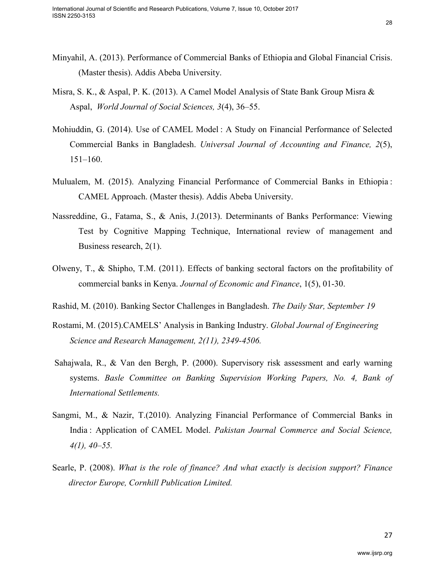- Minyahil, A. (2013). Performance of Commercial Banks of Ethiopia and Global Financial Crisis. (Master thesis). Addis Abeba University.
- Misra, S. K., & Aspal, P. K. (2013). A Camel Model Analysis of State Bank Group Misra & Aspal, *World Journal of Social Sciences, 3*(4), 36–55.
- Mohiuddin, G. (2014). Use of CAMEL Model : A Study on Financial Performance of Selected Commercial Banks in Bangladesh. *Universal Journal of Accounting and Finance, 2*(5),  $151 - 160$ .
- Mulualem, M. (2015). Analyzing Financial Performance of Commercial Banks in Ethiopia : CAMEL Approach. (Master thesis). Addis Abeba University.
- Nassreddine, G., Fatama, S., & Anis, J.(2013). Determinants of Banks Performance: Viewing Test by Cognitive Mapping Technique, International review of management and Business research, 2(1).
- Olweny, T., & Shipho, T.M. (2011). Effects of banking sectoral factors on the profitability of commercial banks in Kenya. *Journal of Economic and Finance*, 1(5), 01-30.
- Rashid, M. (2010). Banking Sector Challenges in Bangladesh. *The Daily Star, September 19*
- Rostami, M. (2015).CAMELS' Analysis in Banking Industry. *Global Journal of Engineering Science and Research Management, 2(11), 2349-4506.*
- Sahajwala, R., & Van den Bergh, P. (2000). Supervisory risk assessment and early warning systems. *Basle Committee on Banking Supervision Working Papers, No. 4, Bank of International Settlements.*
- Sangmi, M., & Nazir, T.(2010). Analyzing Financial Performance of Commercial Banks in India : Application of CAMEL Model. *Pakistan Journal Commerce and Social Science, 4(1), 40–55.*
- Searle, P. (2008). *What is the role of finance? And what exactly is decision support? Finance director Europe, Cornhill Publication Limited.*